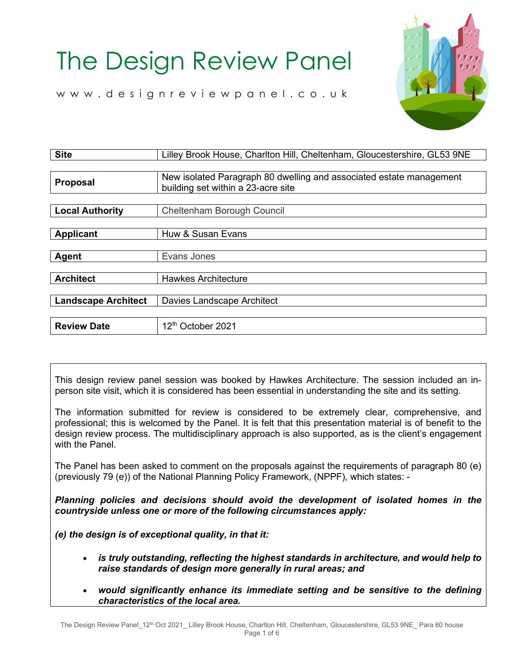

[www.designreviewpanel.co.uk](http://www.designreviewpanel.co.uk/)

| <b>Site</b>                | Lilley Brook House, Charlton Hill, Cheltenham, Gloucestershire, GL53 9NE                                  |
|----------------------------|-----------------------------------------------------------------------------------------------------------|
|                            |                                                                                                           |
| <b>Proposal</b>            | New isolated Paragraph 80 dwelling and associated estate management<br>building set within a 23-acre site |
|                            |                                                                                                           |
| <b>Local Authority</b>     | Cheltenham Borough Council                                                                                |
|                            |                                                                                                           |
| <b>Applicant</b>           | Huw & Susan Evans                                                                                         |
|                            |                                                                                                           |
| <b>Agent</b>               | Evans Jones                                                                                               |
|                            |                                                                                                           |
| <b>Architect</b>           | <b>Hawkes Architecture</b>                                                                                |
|                            |                                                                                                           |
| <b>Landscape Architect</b> | Davies Landscape Architect                                                                                |
|                            |                                                                                                           |
| <b>Review Date</b>         | 12 <sup>th</sup> October 2021                                                                             |

This design review panel session was booked by Hawkes Architecture. The session included an inperson site visit, which it is considered has been essential in understanding the site and its setting.

The information submitted for review is considered to be extremely clear, comprehensive, and professional; this is welcomed by the Panel. It is felt that this presentation material is of benefit to the design review process. The multidisciplinary approach is also supported, as is the client's engagement with the Panel.

The Panel has been asked to comment on the proposals against the requirements of paragraph 80 (e) (previously 79 (e)) of the National Planning Policy Framework, (NPPF), which states: -

*Planning policies and decisions should avoid the development of isolated homes in the countryside unless one or more of the following circumstances apply:*

*(e) the design is of exceptional quality, in that it:*

- *is truly outstanding, reflecting the highest standards in architecture, and would help to raise standards of design more generally in rural areas; and*
- *would significantly enhance its immediate setting and be sensitive to the defining characteristics of the local area.*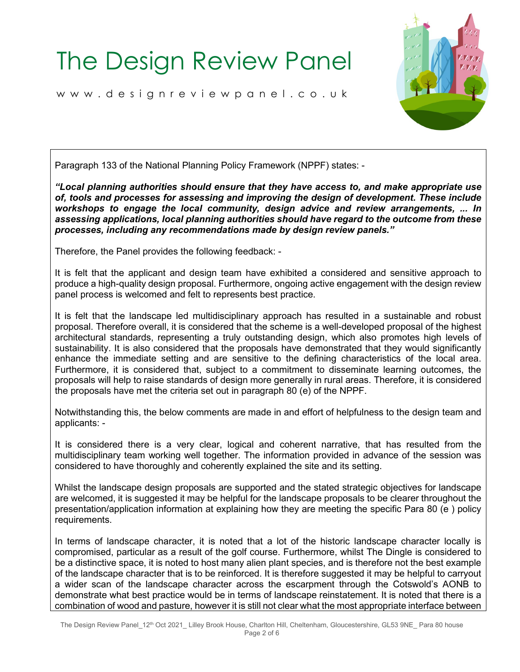[www.designreviewpanel.co.uk](http://www.designreviewpanel.co.uk/)



Paragraph 133 of the National Planning Policy Framework (NPPF) states: -

*"Local planning authorities should ensure that they have access to, and make appropriate use of, tools and processes for assessing and improving the design of development. These include workshops to engage the local community, design advice and review arrangements, ... In assessing applications, local planning authorities should have regard to the outcome from these processes, including any recommendations made by design review panels."*

Therefore, the Panel provides the following feedback: -

It is felt that the applicant and design team have exhibited a considered and sensitive approach to produce a high-quality design proposal. Furthermore, ongoing active engagement with the design review panel process is welcomed and felt to represents best practice.

It is felt that the landscape led multidisciplinary approach has resulted in a sustainable and robust proposal. Therefore overall, it is considered that the scheme is a well-developed proposal of the highest architectural standards, representing a truly outstanding design, which also promotes high levels of sustainability. It is also considered that the proposals have demonstrated that they would significantly enhance the immediate setting and are sensitive to the defining characteristics of the local area. Furthermore, it is considered that, subject to a commitment to disseminate learning outcomes, the proposals will help to raise standards of design more generally in rural areas. Therefore, it is considered the proposals have met the criteria set out in paragraph 80 (e) of the NPPF.

Notwithstanding this, the below comments are made in and effort of helpfulness to the design team and applicants: -

It is considered there is a very clear, logical and coherent narrative, that has resulted from the multidisciplinary team working well together. The information provided in advance of the session was considered to have thoroughly and coherently explained the site and its setting.

Whilst the landscape design proposals are supported and the stated strategic objectives for landscape are welcomed, it is suggested it may be helpful for the landscape proposals to be clearer throughout the presentation/application information at explaining how they are meeting the specific Para 80 (e ) policy requirements.

In terms of landscape character, it is noted that a lot of the historic landscape character locally is compromised, particular as a result of the golf course. Furthermore, whilst The Dingle is considered to be a distinctive space, it is noted to host many alien plant species, and is therefore not the best example of the landscape character that is to be reinforced. It is therefore suggested it may be helpful to carryout a wider scan of the landscape character across the escarpment through the Cotswold's AONB to demonstrate what best practice would be in terms of landscape reinstatement. It is noted that there is a combination of wood and pasture, however it is still not clear what the most appropriate interface between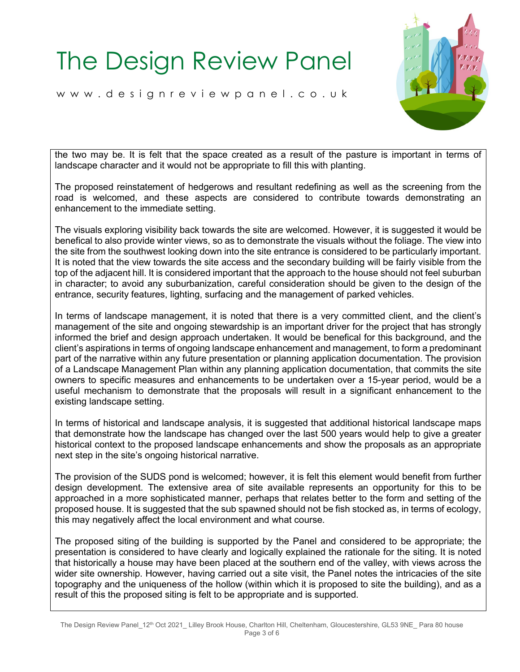[www.designreviewpanel.co.uk](http://www.designreviewpanel.co.uk/)



the two may be. It is felt that the space created as a result of the pasture is important in terms of landscape character and it would not be appropriate to fill this with planting.

The proposed reinstatement of hedgerows and resultant redefining as well as the screening from the road is welcomed, and these aspects are considered to contribute towards demonstrating an enhancement to the immediate setting.

The visuals exploring visibility back towards the site are welcomed. However, it is suggested it would be benefical to also provide winter views, so as to demonstrate the visuals without the foliage. The view into the site from the southwest looking down into the site entrance is considered to be particularly important. It is noted that the view towards the site access and the secondary building will be fairly visible from the top of the adjacent hill. It is considered important that the approach to the house should not feel suburban in character; to avoid any suburbanization, careful consideration should be given to the design of the entrance, security features, lighting, surfacing and the management of parked vehicles.

In terms of landscape management, it is noted that there is a very committed client, and the client's management of the site and ongoing stewardship is an important driver for the project that has strongly informed the brief and design approach undertaken. It would be benefical for this background, and the client's aspirations in terms of ongoing landscape enhancement and management, to form a predominant part of the narrative within any future presentation or planning application documentation. The provision of a Landscape Management Plan within any planning application documentation, that commits the site owners to specific measures and enhancements to be undertaken over a 15-year period, would be a useful mechanism to demonstrate that the proposals will result in a significant enhancement to the existing landscape setting.

In terms of historical and landscape analysis, it is suggested that additional historical landscape maps that demonstrate how the landscape has changed over the last 500 years would help to give a greater historical context to the proposed landscape enhancements and show the proposals as an appropriate next step in the site's ongoing historical narrative.

The provision of the SUDS pond is welcomed; however, it is felt this element would benefit from further design development. The extensive area of site available represents an opportunity for this to be approached in a more sophisticated manner, perhaps that relates better to the form and setting of the proposed house. It is suggested that the sub spawned should not be fish stocked as, in terms of ecology, this may negatively affect the local environment and what course.

The proposed siting of the building is supported by the Panel and considered to be appropriate; the presentation is considered to have clearly and logically explained the rationale for the siting. It is noted that historically a house may have been placed at the southern end of the valley, with views across the wider site ownership. However, having carried out a site visit, the Panel notes the intricacies of the site topography and the uniqueness of the hollow (within which it is proposed to site the building), and as a result of this the proposed siting is felt to be appropriate and is supported.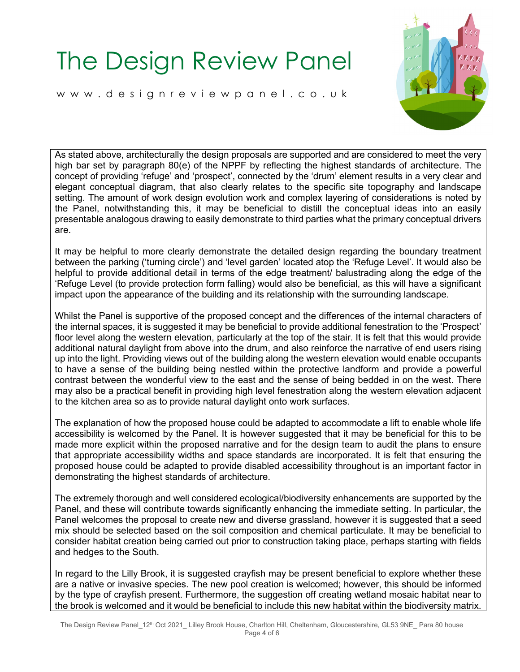[www.designreviewpanel.co.uk](http://www.designreviewpanel.co.uk/)



As stated above, architecturally the design proposals are supported and are considered to meet the very high bar set by paragraph 80(e) of the NPPF by reflecting the highest standards of architecture. The concept of providing 'refuge' and 'prospect', connected by the 'drum' element results in a very clear and elegant conceptual diagram, that also clearly relates to the specific site topography and landscape setting. The amount of work design evolution work and complex layering of considerations is noted by the Panel, notwithstanding this, it may be beneficial to distill the conceptual ideas into an easily presentable analogous drawing to easily demonstrate to third parties what the primary conceptual drivers are.

It may be helpful to more clearly demonstrate the detailed design regarding the boundary treatment between the parking ('turning circle') and 'level garden' located atop the 'Refuge Level'. It would also be helpful to provide additional detail in terms of the edge treatment/ balustrading along the edge of the 'Refuge Level (to provide protection form falling) would also be beneficial, as this will have a significant impact upon the appearance of the building and its relationship with the surrounding landscape.

Whilst the Panel is supportive of the proposed concept and the differences of the internal characters of the internal spaces, it is suggested it may be beneficial to provide additional fenestration to the 'Prospect' floor level along the western elevation, particularly at the top of the stair. It is felt that this would provide additional natural daylight from above into the drum, and also reinforce the narrative of end users rising up into the light. Providing views out of the building along the western elevation would enable occupants to have a sense of the building being nestled within the protective landform and provide a powerful contrast between the wonderful view to the east and the sense of being bedded in on the west. There may also be a practical benefit in providing high level fenestration along the western elevation adjacent to the kitchen area so as to provide natural daylight onto work surfaces.

The explanation of how the proposed house could be adapted to accommodate a lift to enable whole life accessibility is welcomed by the Panel. It is however suggested that it may be beneficial for this to be made more explicit within the proposed narrative and for the design team to audit the plans to ensure that appropriate accessibility widths and space standards are incorporated. It is felt that ensuring the proposed house could be adapted to provide disabled accessibility throughout is an important factor in demonstrating the highest standards of architecture.

The extremely thorough and well considered ecological/biodiversity enhancements are supported by the Panel, and these will contribute towards significantly enhancing the immediate setting. In particular, the Panel welcomes the proposal to create new and diverse grassland, however it is suggested that a seed mix should be selected based on the soil composition and chemical particulate. It may be beneficial to consider habitat creation being carried out prior to construction taking place, perhaps starting with fields and hedges to the South.

In regard to the Lilly Brook, it is suggested crayfish may be present beneficial to explore whether these are a native or invasive species. The new pool creation is welcomed; however, this should be informed by the type of crayfish present. Furthermore, the suggestion off creating wetland mosaic habitat near to the brook is welcomed and it would be beneficial to include this new habitat within the biodiversity matrix.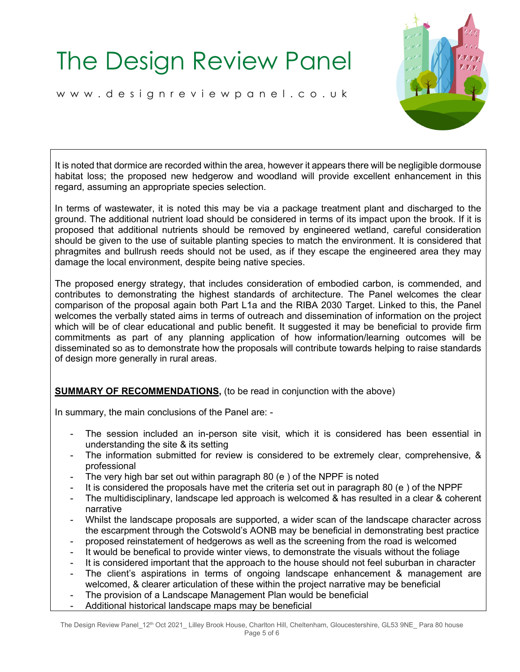[www.designreviewpanel.co.uk](http://www.designreviewpanel.co.uk/)



It is noted that dormice are recorded within the area, however it appears there will be negligible dormouse habitat loss; the proposed new hedgerow and woodland will provide excellent enhancement in this regard, assuming an appropriate species selection.

In terms of wastewater, it is noted this may be via a package treatment plant and discharged to the ground. The additional nutrient load should be considered in terms of its impact upon the brook. If it is proposed that additional nutrients should be removed by engineered wetland, careful consideration should be given to the use of suitable planting species to match the environment. It is considered that phragmites and bullrush reeds should not be used, as if they escape the engineered area they may damage the local environment, despite being native species.

The proposed energy strategy, that includes consideration of embodied carbon, is commended, and contributes to demonstrating the highest standards of architecture. The Panel welcomes the clear comparison of the proposal again both Part L1a and the RIBA 2030 Target. Linked to this, the Panel welcomes the verbally stated aims in terms of outreach and dissemination of information on the project which will be of clear educational and public benefit. It suggested it may be beneficial to provide firm commitments as part of any planning application of how information/learning outcomes will be disseminated so as to demonstrate how the proposals will contribute towards helping to raise standards of design more generally in rural areas.

#### **SUMMARY OF RECOMMENDATIONS, (to be read in conjunction with the above)**

In summary, the main conclusions of the Panel are: -

- The session included an in-person site visit, which it is considered has been essential in understanding the site & its setting
- The information submitted for review is considered to be extremely clear, comprehensive, & professional
- The very high bar set out within paragraph 80 (e) of the NPPF is noted
- It is considered the proposals have met the criteria set out in paragraph 80 (e) of the NPPF
- The multidisciplinary, landscape led approach is welcomed & has resulted in a clear & coherent narrative
- Whilst the landscape proposals are supported, a wider scan of the landscape character across the escarpment through the Cotswold's AONB may be beneficial in demonstrating best practice
- proposed reinstatement of hedgerows as well as the screening from the road is welcomed
- It would be benefical to provide winter views, to demonstrate the visuals without the foliage
- It is considered important that the approach to the house should not feel suburban in character
- The client's aspirations in terms of ongoing landscape enhancement & management are welcomed, & clearer articulation of these within the project narrative may be beneficial
- The provision of a Landscape Management Plan would be beneficial
- Additional historical landscape maps may be beneficial